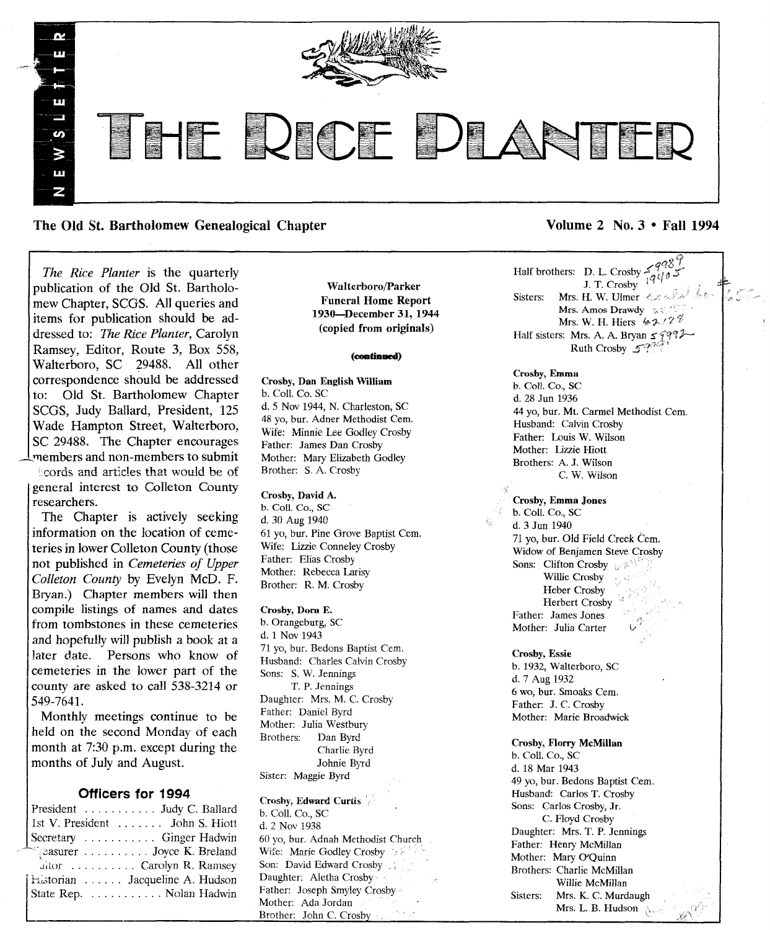

The Old St. Bartholomew Genealogical Chapter Volume 2 No. 3 • Fall 1994

*The Rice Planter* is the quarterly publication of the Old St. Bartholomew Chapter, SCGS. All queries and items for publication should be addressed to: *The Rice Planter,* Carolyn Ramsey, Editor, Route 3, Box 558, Walterboro, SC 29488. All other correspondence should be addressed to: Old St. Bartholomew Chapter SCGS, Judy Ballard, President, 125 Wade Hampton Street, Walterboro, SC 29488. The Chapter encourages \_\_'11embersand non-members to submit

 $k$  cords and articles that would be of general interest to Colleton County researchers.

The Chapter is actively seeking information on the location of cemeteries in lower Colleton County (those not published in *Cemeteries of Upper Colleton County* by Evelyn McD. F. Bryan.) Chapter members will then compile listings of names and dates from tombstones in these cemeteries and hopefully will publish a book at a later date. Persons who know of cemeteries in the lower part of the county are asked to call 538-3214 or 549-764l.

Monthly meetings continue to be held on the second Monday of each month at 7:30 p.m. except during the months of July and August.

## Officers for 1994

President . . . . . . . . . . Judy C. Ballard 1st V. President . . . . . . . John S. Hiott Secretary .......... Ginger Hadwin . Breland : . . . . . . . . . . Joyce K. Breland Jitor .......... Carolyn R. Ramsey<br>Historian ...... Jacqueline A. Hudson State Rep. . . . . . . . . . . Nolan Hadwin

Ictate Rep. . ~"1;.;tOrian Jacqueline A. Hudson Nolan Hadwin

Walterboro/Parker Funeral Home Report 193o-December 31, 1944 (copied from originals)

#### (continued)

Crosby, Dan English William b. Coli. Co. SC d. 5 Nov 1944, N. Charleston, SC 48 yo, bur. Adner Methodist Cem. Wife: Minnie Lee Godley Crosby Father: James Dan Crosby Mother: Mary Elizabeth Godley Brother: S. A. Crosby

#### Crosby, David A.

b. Coil. Co., SC d. 30 Aug 1940 61 yo, bur. Pine Grove Baptist Cern, Wife: Lizzie Conneley Crosby Father: Elias Crosby Mother: Rebecca Larisy Brother: R. M. Crosby

Crosby, Dora E. b. Orangeburg, SC d. 1 Nov 1943 71 yo, bur. Bedons Baptist Cern. Husband: Charles Calvin Crosby Sons: S. W. Jennings T. P. Jennings Daughter: Mrs. M. C. Crosby Father: Daniel Byrd Mother: Julia Westbury<br>Brothers: Dan Byrd Dan Byrd Charlie Byrd Johnie Byrd Sister: Maggie Byrd

Crosby, Edward Curtis b. Coil. Co., SC d. 2 Nov 1938 60 yo, bur. Adnah Methodist Church Wife: Marie Godley Crosby Son: David Edward Crosby Daughter: Aletha Crosby Father: Joseph Smyley Crosby Mother: Ada Jordan Brother: John C. Crosby

~'3

 $\leq$   $\frac{9}{10}$  $\frac{1}{1}$ . T. Crosby  $\int$ <sup>7</sup> Sisters: Mrs. H. W. Ulmer  $\leftarrow$ Mrs. Amos Drawdy  $\left\langle \mathbf{z} \otimes \mathbf{z} \right\rangle$ Mrs. W. H. Hiers  $4.4 \times 10^{-8}$ Half sisters: Mrs. A. A. Bryan  $\leq \int \sqrt{q^2 + \cdots}$ Ruth Crosby  $\mathcal{F}^{\mathcal{D}}$ 

Crosby, Emma b. ColI. Co., SC d. 28 Jun 1936 44 yo, bur. Mt. Carmel Methodist Cem. Husband: Calvin Crosby Father: Louis W. Wilson Mother: Lizzie Hiott Brothers: A. J. Wilson C. W. Wilson

Crosby, Emma Jones b. ColI. Co., SC d. 3 Jun 1940 71 yo, bur. Old Field Creek Cern. Widow of Benjamen Steve Crosby Sons: Clifton Crosby ... Willie Crosby Heber Crosby Herbert Crosby Father: James Jones Mother: Julia Carter

Crosby, Essie b. 1932, Walterboro, SC d. 7 Aug 1932 6 wo, bur. Smoaks Cern. Father: J. C. Crosby Mother: Marie Broadwick

Crosby, Florry McMillan b. Coli. Co., SC d. 18 Mar 1943 49 yo, bur. Bedons Baptist Cem. Husband: Carlos T. Crosby Sons: Carlos Crosby, Jr. C. Floyd Crosby Daughter: Mrs. T. P. Jennings Father: Henry McMillan Mother: Mary O'Quinn Brothers: Charlie McMillan Willie McMillan Sisters: Mrs. K. C. Murdaugh Mrs. L. B. Hudson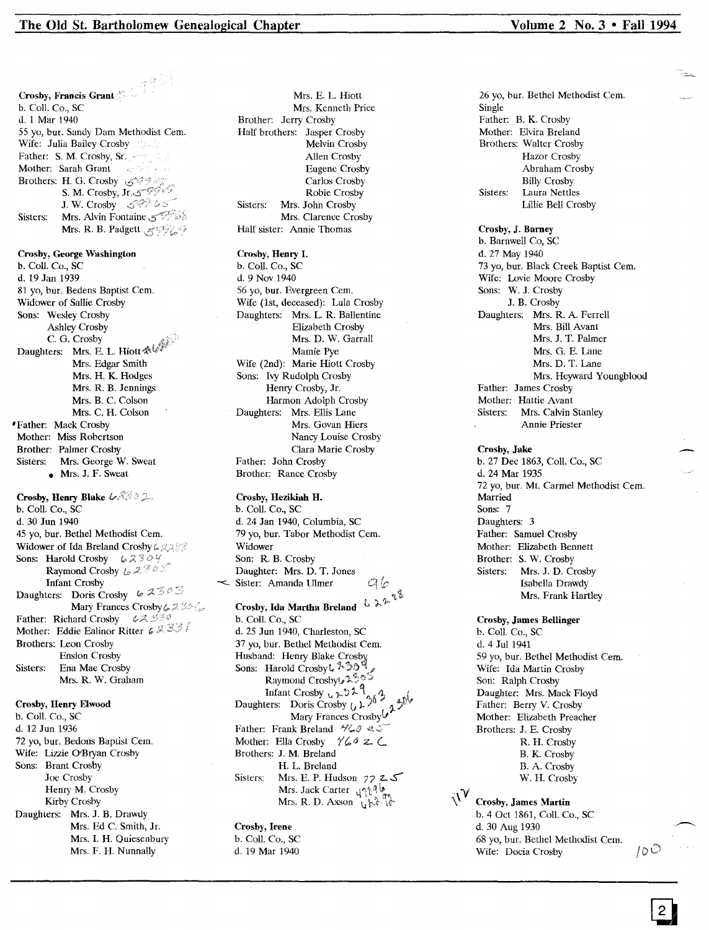## The Old St. Bartholomew Genealogical Chapter Volume 2 No. 3 • Fall 1994

Crosby, Henry Blake  $\mathcal{LAG}$ b. Coli. Co., SC d. 30 Jun 1940 45 yo, bur. Bethel Methodist Cern. Widower of Ida Breland Crosby 6 2288 Sons: Harold Crosby  $62324$ Raymond Crosby  $L_2 \mathbb{Z} \stackrel{\otimes}{\otimes} \mathbb{Z}$ Infant Crosby Daughters: Doris Crosby  $\varphi \mathcal{Z} \mathcal{Z} \circ \mathcal{Z}$ Mary Frances Crosby & 250 & Father: Richard Crosby Mother: Eddie Ealinor Ritter  $\leqslant 1$ ,  $\leqslant$ Brothers: Leon Crosby Enslon Crosby Sisters: Ena Mae Crosby Mrs. R. W. Graham Crosby, Francis Grant  $\frac{35}{25}$ b. Coli. Co., sc d. 1 Mar 1940 55 yo, bur. Sandy Dam Methodist Cern. Wife: Julia Bailey Crosby Father: S. M. Crosby, Sr. Mother: Sarah Grant Brothers: H. G. Crosby S. M. Crosby, J. W. Crosby  $\mathcal{S}^{\mathscr{D}^{\mathscr{D}}}\mathscr{S}^{\mathscr{D}}$ Sisters: Mrs. Alvin Fontaine 5 Mrs. R. B. Padgett 35829 Crosby, Henry Elwood Crosby, George Washington b. Call. Co., SC d. 19 Jan 1939 81 yo, bur. Bedens Baptist Cem. Widower of Sallie Crosby Sons: Wesley Crosby Ashley Crosby<br>C. G. Crosby C. G. Crosby Daughters: Mrs. E. L. Mrs. Edgar Smith Mrs. H. K. Hodges Mrs. R. B. Jennings Mrs. B. C. Colson Mrs. C. H. Colson 'Father: Mack Crosby Mother: Miss Robertson Brother: Palmer Crosby Sisters: Mrs. George W. Sweat • Mrs. J. F. Sweat

b. Call. Co., SC d. 12 Jun 1936 72 yo, bur. Bedons Baptist Cem. Wife: Lizzie O'Bryan Crosby Sons: Brant Crosby Joe Crosby Henry M. Crosby Kirby Crosby Daughters: Mrs. J. B. Drawdy Mrs. Ed C. Smith, Jr. Mrs. I. H. Quiesenbury Mrs. F. H. Nunnally

Mrs. E. L. Hiott Mrs. Kenneth Price Brother: Jerry Crosby Half brothers: Jasper Crosby Melvin Crosby Allen Crosby Eugene Crosby Carlos Crosby Robie Crosby Sisters: Mrs. John Crosby Mrs. Clarence Crosby Half sister: Annie Thomas

## Crosby, Henry I.

b. Call. Co., SC d. 9 Nov 1940 56 yo, bur. Evergreen Cern. Wife (1st, deceased): Lula Crosby Daughters: Mrs. L. R. Ballentine Elizabeth Crosby Mrs. D. W. Garrall Mamie Pye Wife (2nd): Marie Hiott Crosby Sons: Ivy Rudolph Crosby Henry Crosby, Jr. Harmon Adolph Crosby Daughters: Mrs. Ellis Lane Mrs. Govan Hiers Nancy Louise Crosby Clara Marie Crosby Father: John Crosby Brother: Rance Crosby

Crosby, Hezikiah H. b. ColI. Co., SC d. 24 Jan 1940, Columbia, SC 79 yo, bur. Tabor Methodist Cern. Widower Son: R. B. Crosby Daughter: Mrs. D. T. Jones Sister: Amanda Ulmer  $q_{\mathbf{c}}$ 

Crosby, Ida Martha Breland to 22 the b. Call. Co., SC d. 25 Jun 1940, Charleston, SC 37 yo, bur. Bethel Methodist Cem. Husband: Henry Blake Crosby<br>Sons: Harold Crosby L 200 Sons: Harold Crosby  $k \sim 22$ . Raymond Crosbyt<sub>s</sub> Infant Crosby  $\mathfrak{t}_k \rightarrow 2 \uparrow \uparrow$ <br>Daughters: Doris Crosby  $(\downarrow \downarrow \uparrow)$ Daughters: Doris Crosby  $\iota$ ,  $\iota$ ,  $\iota$ ,  $\iota$ ,  $\iota$ ,  $\iota$ ,  $\iota$ ,  $\iota$ ,  $\iota$ ,  $\iota$ ,  $\iota$ ,  $\iota$ ,  $\iota$ ,  $\iota$ ,  $\iota$ ,  $\iota$ ,  $\iota$ ,  $\iota$ ,  $\iota$ ,  $\iota$ ,  $\iota$ ,  $\iota$ ,  $\iota$ ,  $\iota$ ,  $\iota$ ,  $\iota$ ,  $\iota$ ,  $\iota$ , Father: Frank Breland  $\mathcal{H}_\bullet \emptyset \ll \mathcal{I}$ Mother: Ella Crosby  $\frac{1}{6}$  *6* 2  $\subset$ Brothers: J. M. Breland H. L. Breland Sisters: Mrs. E. P. Hudson  $7225$ Mrs. Jack Carter *c\/'t't~*~'t" Mrs. R. D. Axson  $\sqrt{\lambda^2}$ 

Crosby, Irene b. Call. Co., SC d. 19 Mar 1940

26 yo, bur. Bethel Methodist Cern. Single Father: B. K. Crosby Mother: Elvira Breland Brothers: Walter Crosby Hazar Crosby Abraham Crosby Billy Crosby Sisters: Laura Nettles Lillie Bell Crosby

Crosby, J. Barney b. Barnwell Co, SC d. 27 May 1940 73 yo, bur. Black Creek Baptist Cem. Wife: Lovie Moore Crosby Sons: W. J. Crosby J. B. Crosby Daughters: Mrs. R. A. Ferrell Mrs. Bill Avant Mrs. J. T. Palmer Mrs. G. E. Lane Mrs. D. T. Lane Mrs. Heyward Youngblood Father: James Crosby Mother: Hattie Avant Sisters: Mrs. Calvin Stanley Annie Priester

### Crosby, Jake b. 27 Dec 1863, Coli. Co., SC d. 24 Mar 1935 72 yo, bur. Mt. Carmel Methodist Cern. Married Sons: 7 Daughters: 3 Father: Samuel Crosby

Mother: Elizabeth Bennett Brother: S. W. Crosby<br>Sisters: Mrs. J. D. Ct Mrs. J. D. Crosby Isabella Drawdy Mrs. Frank Hartley

Crosby, James Bellinger b. Coli. Co., SC d. 4 Jul 1941 59 yo, bur. Bethel Methodist Cern. Wife: Ida Martin Crosby Son: Ralph Crosby Daughter: Mrs. Mack Floyd Father: Berry V. Crosby Mother: Elizabeth Preacher Brothers: J. E. Crosby R. H. Crosby B. K. Crosby B. A. Crosby W. H. Crosby

Crosby, James Martin b. 4 Oct 1861, Call. Co., SC d. 30 Aug 1930 68 yo, bur. Bethel Methodist Cern. Wife: Docia Crosby  $/ \partial \tilde{C}$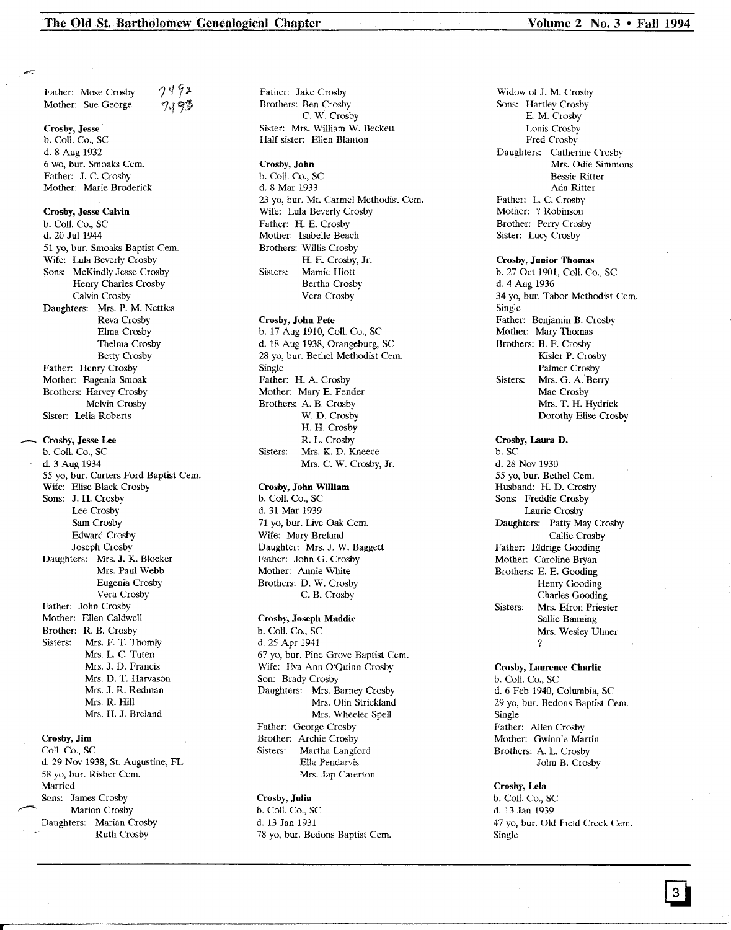Father: Mose Crosby Mother: Sue George 7492 *1'191t*

#### Crosby, Jesse

b. Call. Co., sc d. 8 Aug 1932 6 wo, bur. Smoaks Cern. Father: J. C. Crosby Mother: Marie Broderick

#### Crosby, Jesse Calvin

b. Call. Co., SC d. 20 Jul 1944 51 yo, bur. Smoaks Baptist Cern. Wife: Lula Beverly Crosby Sons: McKindly Jesse Crosby Henry Charles Crosby Calvin Crosby Daughters: Mrs. P. M. Nettles Reva Crosby Elma Crosby Thelma Crosby Betty Crosby Father: Henry Crosby Mother: Eugenia Smoak Brothers: Harvey Crosby Melvin Crosby Sister: Lelia Roberts

#### \_ Crosby, Jesse Lee

b. Call. Co., SC d. 3 Aug 1934 55 yo, bur. Carters Ford Baptist Cem. Wife: Elise Black Crosby Sons: J. H. Crosby Lee Crosby Sam Crosby Edward Crosby Joseph Crosby Daughters: Mrs. J. K. Blocker Mrs. Paul Webb Eugenia Crosby Vera Crosby Father: John Crosby Mother: Ellen Caldwell Brother: R. B. Crosby Sisters: Mrs. F. T. Thomly Mrs. L. C. Tuten Mrs. J. D. Francis Mrs. D. T. Harvason Mrs. J. R. Redman Mrs. R. Hill Mrs. H. J. Breland

#### Crosby, Jim

Coil. Co., SC d. 29 Nov 1938, St. Augustine, FL 58 yo, bur. Risher Cem. Married Sons: James Crosby Marion Crosby Daughters: Marian Crosby Ruth Crosby

Father: Jake Crosby Brothers: Ben Crosby C. W. Crosby Sister: Mrs. William W. Beckett Half sister: Ellen Blanton

#### Crosby, John

b. Coil. Co., SC d. 8 Mar 1933 23 yo, bur. Mt. Carmel Methodist Cem. Wife: Lula Beverly Crosby Father: H. E. Crosby Mother: Isabelle Beach Brothers: Willis Crosby H. E. Crosby, Jr. Sisters: Mamie Hiott Bertha Crosby Vera Crosby

## Crosby, John Pete

b. 17 Aug 1910, Call. Co., SC d. 18 Aug 1938, Orangeburg, SC 28 yo, bur. Bethel Methodist Cern. Single Father: H. A. Crosby Mother: Mary E. Fender Brothers: A. B. Crosby W. D. Crosby H. H. Crosby R. L. Crosby Sisters: Mrs. K. D. Kneece Mrs. C. W. Crosby, Jr.

#### Crosby, John William

b. Call. Co., SC d. 31 Mar 1939 71 yo, bur. Live Oak Cem. Wife: Mary Breland Daughter: Mrs. J. W. Baggett Father: John G. Crosby Mother: Annie White Brothers: D. W. Crosby C. B. Crosby

## Crosby, Joseph Maddie

b. Call. Co., SC d. 25 Apr 1941 67 yo, bur. Pine Grove Baptist Cern. Wife: Eva Ann O'Quinn Crosby Son: Brady Crosby Daughters: Mrs. Barney Crosby Mrs. Olin Strickland Mrs. Wheeler Spell Father: George Crosby Brother: Archie Crosby<br>Sisters: Martha Langfe Martha Langford Ella Pendarvis Mrs. Jap Caterton

## Crosby, Julia

b. ColI. Co., SC d. 13 Jan 1931 78 yo, bur. Bedons Baptist Cem. Widow of J. M. Crosby Sons: Hartley Crosby E. M. Crosby Louis Crosby Fred Crosby Daughters: Catherine Crosby Mrs. Odie Simmons Bessie Ritter Ada Ritter Father: L. C. Crosby Mother: ? Robinson Brother: Perry Crosby Sister: Lucy Crosby

#### Crosby, Junior Thomas

b. 27 Oct 1901, ColI. Co., SC d. 4 Aug 1936 34 yo, bur. Tabor Methodist Cern. Single Father: Benjamin B. Crosby Mother: Mary Thomas Brothers: B. F. Crosby Kisler P. Crosby Palmer Crosby Sisters: Mrs. G. A. Berry Mae Crosby Mrs. T. H. Hydrick Dorothy Elise Crosby

Crosby, Laura D. b. SC d. 28 Nov 1930 55 yo, bur. Bethel Cern. Husband: H. D. Crosby Sons: Freddie Crosby Laurie Crosby Daughters: Patty May Crosby Callie Crosby Father: Eldrige Gooding Mother: Caroline Bryan Brothers: E. E. Gooding Henry Gooding Charles Gooding Sisters: Mrs. Efron Priester Sallie Banning Mrs. Wesley Ulmer ?

## Crosby, Laurence Charlie b. ColI. Co., SC d. 6 Feb 1940, Columbia, SC 29 yo, bur. Bedons Baptist Cem. Single Father: Allen Crosby Mother: Gwinnie Martin Brothers: A. L. Crosby John B. Crosby

#### Crosby, Lela

b. Call. Co., SC d. 13 Jan 1939 47 yo, bur. Old Field Creek Cem. Single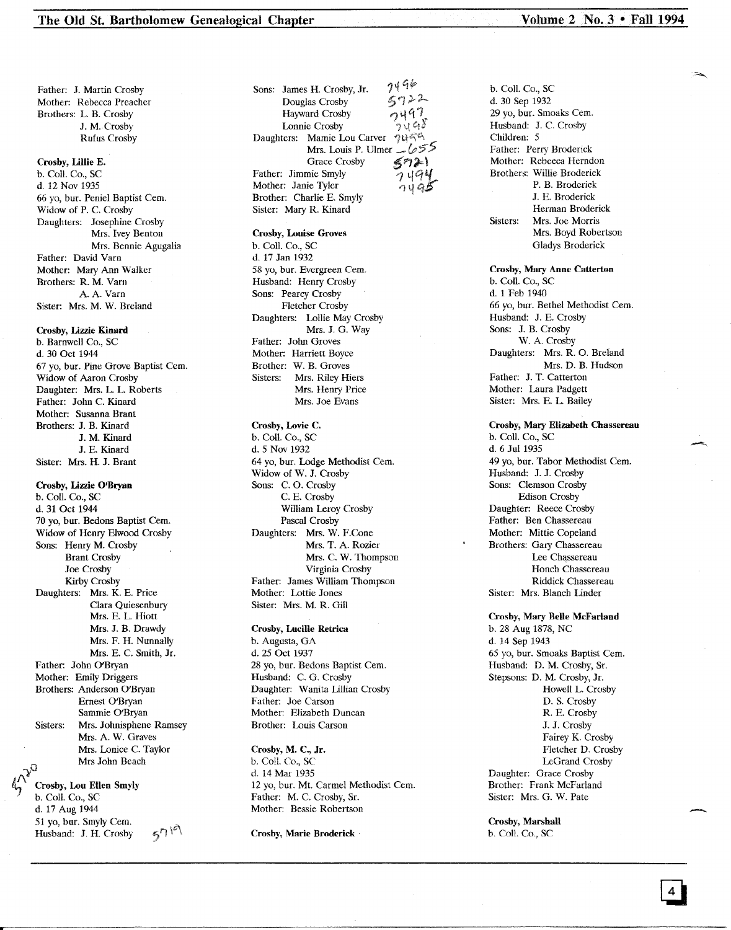Father: J. Martin Crosby Mother: Rebecca Preacher Brothers: L. B. Crosby J. M.Crosby Rufus Crosby

#### Crosby, Lillie E.

b. Coli. Co., SC d. 12 Nov 1935 66 yo, bur. Peniel Baptist Cem. Widow of P. C. Crosby Daughters: Josephine Crosby Mrs. Ivey Benton Mrs. Bennie Agugalia Father: David Varn Mother: Mary Ann Walker Brothers: R. M. Varn A. A. Varn Sister: Mrs. M. W. Breland

## Crosby, Lizzie Kinard

b. Barnwell Co., SC d. 30 Oct 1944 67 yo, bur. Pine Grove Baptist Cern. Widow of Aaron Crosby Daughter: Mrs. L. L. Roberts Father: John C. Kinard Mother: Susanna Brant Brothers: J. B. Kinard J. M. Kinard J. E. Kinard Sister: Mrs. H. J. Brant

## Crosby, Lizzie O'Bryan

b. Call. Co., SC d. 31 Oct 1944 70 yo, bur. Bedons Baptist Cem. Widow of Henry Elwood Crosby Sons: Henry M. Crosby Brant Crosby Joe Crosby Kirby Crosby Daughters: Mrs. K. E. Price Clara Quiesenbury Mrs. E. L. Hiott Mrs. J. B. Drawdy Mrs. F. H. Nunnally Mrs. E. C. Smith, Jr. Father: John O'Bryan Mother: Emily Driggers Brothers: Anderson O'Bryan Ernest O'Bryan Sammie O'Bryan Sisters: Mrs. Johnisphene Ramsey Mrs. A. W. Graves Mrs. Lonice C. Taylor Mrs John Beach

# $\bigwedge^{\bullet}$ Crosby, Lou Ellen Smyly<br>b. Coll. Co., SC

d. 17 Aug 1944 51 yo, bur. Smyly Cem.  $570$ Husband: J. H. Crosby

 $7496$ Sons: James H. Crosby, Jr.  $5722$ Douglas Crosby  $2497$ Hayward Crosby Lonnie Crosby ้าง 48 Daughters: Mamie Lou Carver ついてら Mrs. Louis P. Ulmer  $1655$ Grace Crosby  $\leq \eta \geq 0$ Father: Jimmie Smyly Mother: Janie Tyler Brother: Charlie E. Smyly . Sister: Mary R. Kinard

#### Crosby, Louise Groves

b. Call. Co., SC d. 17 Jan 1932 58 yo, bur. Evergreen Cem. Husband: Henry Crosby Sons: Pearcy Crosby Fletcher Crosby Daughters: Lollie May Crosby Mrs. J. G. Way Father: John Groves Mother: Harriett Boyce Brother: W. B. Groves Sisters: Mrs. Riley Hiers Mrs. Henry Price Mrs. Joe Evans

## Crosby, Lovie C.

b. Call. Co., SC d. 5 Nov 1932 64 yo, bur. Lodge Methodist Cern. Widow of W. J. Crosby Sons: C. O. Crosby C. E. Crosby William Leroy Crosby Pascal Crosby Daughters: Mrs. W. F.Cone Mrs. T. A. Rozier Mrs. C. W. Thompson Virginia Crosby Father: James William Thompson Mother: Lottie Jones Sister: Mrs. M. R. Gill

## Crosby, Lucille Retrica

b. Augusta, GA d. 25 Oct 1937 28 yo, bur. Bedons Baptist Cem. Husband: C. G. Crosby Daughter: Wanita Lillian Crosby Father: Joe Carson Mother: Elizabeth Duncan Brother: Louis Carson

#### Crosby, M. C., Jr.

b. Call. Co., SC d. 14 Mar 1935 12 yo, bur. Mt. Carmel Methodist Cern. Father: M. C. Crosby, Sr. Mother: Bessie Robertson

#### Crosby, Marie Broderick

b. Call. Co., SC d. 30 Sep 1932 29 yo, bur. Smoaks Cern. Husband: J. C. Crosby Children: 5 Father: Perry Broderick Mother: Rebecca Herndon Brothers: Willie Broderick P. B. Broderick J. E. Broderick Herman Broderick Sisters: Mrs. Joe Morris Mrs. Boyd Robertson Gladys Broderick

Crosby, Mary Anne Catterton b. Call. Co., SC d. 1 Feb 1940 66 yo, bur. Bethel Methodist Cern. Husband: J. E. Crosby Sons: J. B. Crosby W. A. Crosby Daughters: Mrs. R. O. Breland Mrs. D. B. Hudson Father: J. T. Catterton Mother: Laura Padgett Sister: Mrs. E. L. Bailey

## Crosby, Mary Elizabeth Chassereau b. Call. Co., SC d. 6 Jul 1935 49 yo, bur. Tabor Methodist Cem. Husband: J. J. Crosby Sons: Clemson Crosby Edison Crosby Daughter: Reece Crosby Father: Ben Chassereau Mother: Mittie Copeland Brothers: Gary Chassereau Lee Chassereau Honch Chassereau Riddick Chassereau Sister: Mrs. Blanch Under

Crosby, Mary Belle McFarland b. 28 Aug 1878, NC d. 14 Sep 1943 65 yo, bur. Smoaks Baptist Cem. Husband: D. M. Crosby, Sr. Stepsons: D. M. Crosby, Jr. Howell L. Crosby D. S. Crosby R. E. Crosby J. J. Crosby Fairey K. Crosby Fletcher D. Crosby LeGrand Crosby Daughter: Grace Crosby Brother: Frank McFarland Sister: Mrs. G. W. Pate

Crosby, Marshall b. Coli. Co., SC

---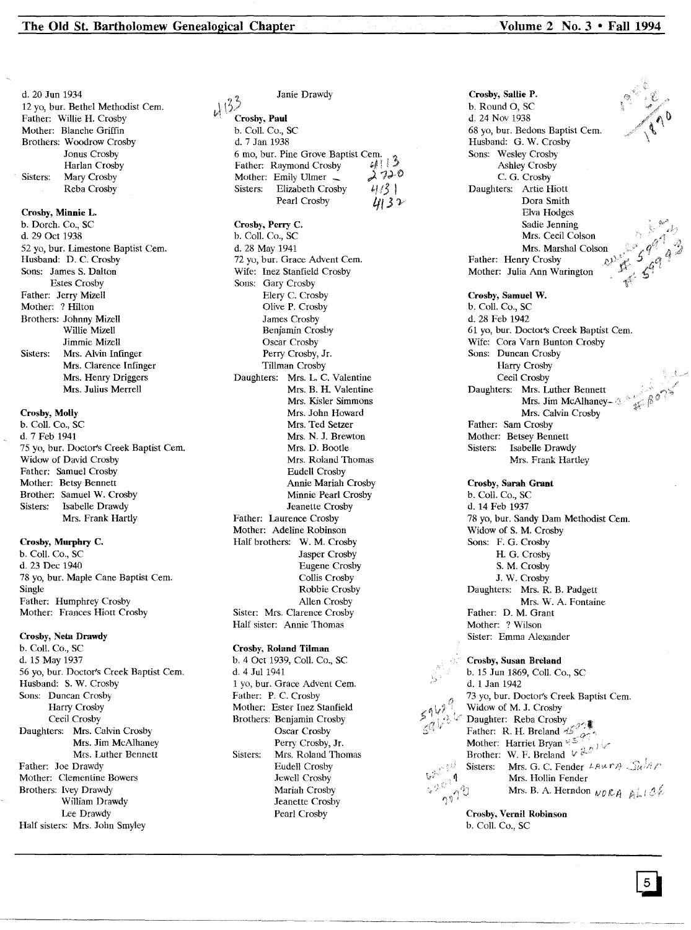Crosby, Minnie L. b. Dorch. Co., SC d. 29 Oct 1938 52 yo, bur. Limestone Baptist Cern. d. 20 Jun 1934 12 yo, bur. Bethel Methodist Cern. Father: Willie H. Crosby Mother: Blanche Griffin Brothers: Woodrow Crosby Jonus Crosby Harlan Crosby Sisters: Mary Crosby Reba Crosby

Husband: D. C. Crosby Sons: James S. Dalton Estes Crosby Father: Jerry Mizell Mother: ? Hilton Brothers: Johnny Mizell Willie Mizell Jimmie Mizell Sisters: Mrs. Alvin Infinger Mrs. Clarence Infinger Mrs. Henry Driggers Mrs. Julius Merrell

## Crosby, Molly

b. ColI. Co., SC d. 7 Feb 1941 75 yo, bur. Doctor's Creek Baptist Cern. Widow of David Crosby Father: Samuel Crosby Mother: Betsy Bennett Brother: Samuel W. Crosby Sisters: Isabelle Drawdy Mrs. Frank Hartly

## Crosby, Murphry C.

b. Call. Co., SC d. 23 Dec 1940 78 yo, bur. Maple Cane Baptist Cern. Single Father: Humphrey Crosby Mother: Frances Hiott Crosby

## Crosby, Neta Drawdy

b. Call. Co., SC d. 15 May 1937 56 yo, bur. Doctor's Creek Baptist Cern. Husband: S. W. Crosby Sons: Duncan Crosby Harry Crosby Cecil Crosby Daughters: Mrs. Calvin Crosby Mrs. Jim McAlhaney Mrs. Luther Bennett Father: Joe Drawdy Mother: Clementine Bowers Brothers: Ivey Drawdy William Drawdy Lee Drawdy Half sisters: Mrs. John Smyley

# Crosby, Paul b. ColI. Co., SC d. 7 Jan 1938 d. 7 Jan 1950<br>6 mo, bur. Pine Grove Baptist Cem.<br>Father: Raymond Crosby *q*;<sup>1</sup>;<sup>1</sup>;<br>Mother: Emily Ulmer – 2 79-0 Mother: Emily Ulmer  $\lambda$  7<sup>2</sup><sup>-1</sup><br>Sisters: Elizabeth Crosby  $4/3$ Sisters: Elizabeth Crosby Pearl Crosby  $\mu$ 132

Janie Drawdy

Crosby, Perry c. b. Coli. Co., sc d. 28 May 1941 72 yo, bur. Grace Advent Cem. Wife: Inez Stanfield Crosby Sons: Gary Crosby Elery C. Crosby Olive P. Crosby James Crosby Benjamin Crosby Oscar Crosby Perry Crosby, Jr. Tillman Crosby Daughters: Mrs. L. C. Valentine Mrs. B. H. Valentine Mrs. Kisler Simmons Mrs. John Howard Mrs. Ted Setzer Mrs. N. J. Brewton Mrs. D. Bootle Mrs. Roland Thomas Eudell Crosby Annie Mariah Crosby Minnie Pearl Crosby Jeanette Crosby Father: Laurence Crosby Mother: Adeline Robinson Half brothers: W. M. Crosby Jasper Crosby Eugene Crosby Collis Crosby Robbie Crosby Allen Crosby Sister: Mrs. Clarence Crosby Half sister: Annie Thomas

## Crosby, Roland Tilman

b. 4 Oct 1939, ColI. Co., SC d. 4 Jul 1941 1 yo, bur. Grace Advent Cern. Father: P. C. Crosby Mother: Ester Inez Stanfield Brothers: Benjamin Crosby Oscar Crosby Perry Crosby, Jr. Sisters: Mrs. Roland Thomas Eudell Crosby Jewell Crosby Mariah Crosby Jeanette Crosby Pearl Crosby

Crosby, Sallie P. b. Round 0, SC d. 24 Nov 1938 68 yo, bur. Bedons Baptist Cern. Husband: G. W. Crosby Sons: Wesley Crosby Ashley Crosby C. G. Crosby Daughters: Artie Hiott Dora Smith Elva Hodges Sadie Jenning Mrs. Cecil Colson Mrs. Marshal Colson Father: Henry Crosby  $\mathbb{R}^{\mathcal{V}}$ Mother: Julia Ann Warington

## Crosby, Samuel W. b. ColI. Co., SC d. 28 Feb 1942 61 yo, bur. Doctot's Creek Baptist Cern. Wife: Cora Varn Bunton Crosby Sons: Duncan Crosby Harry Crosby Cecil Crosby Daughters: Mrs. Luther Bennett Mrs. Jim McAlhaney-  $\triangle$ Mrs. Calvin Crosby Father: Sam Crosby Mother: Betsey Bennett Sisters: Isabelle Drawdy Mrs. Frank Hartley

Crosby, Sarah Grant b. Call. Co., SC d. 14 Feb 1937 78 yo, bur. Sandy Dam Methodist Cern. Widow of S. M. Crosby Sons: F. G. Crosby H. G. Crosby S. M. Crosby J. W. Crosby Daughters: Mrs. R. B. Padgett Mrs. W. A. Fontaine Father: D. M. Grant Mother: ? Wilson Sister: Emma Alexander

Crosby, Susan Breland b. 15 Jun 1869, ColI. Co., SC d. 1 Jan 1942 73 yo, bur. Doctor's Creek Baptist Cern. Widow of M. J. Crosby<br>Daughter: Reba Crosby Daughter: Reba Crosby Father: R. H. Breland Mother: Harriet Bryan  $\frac{1}{2}$ Brother: W. F. Breland  $V \overset{\text{def}}{\phi} \overset{\text{def}}{\phi}$  $420$ Sisters: Mrs. G. C. Fender  $L_A \wedge R_A \longrightarrow R \wedge R$  $\frac{625711}{320111}$ Mrs. Hollin Fender Mrs. B. A. Herndon  $NDRA \cap A^{\dagger} \cup A^{\dagger}$  $\eta$ 

> Crosby, Vernil Robinson b. Coli. Co., SC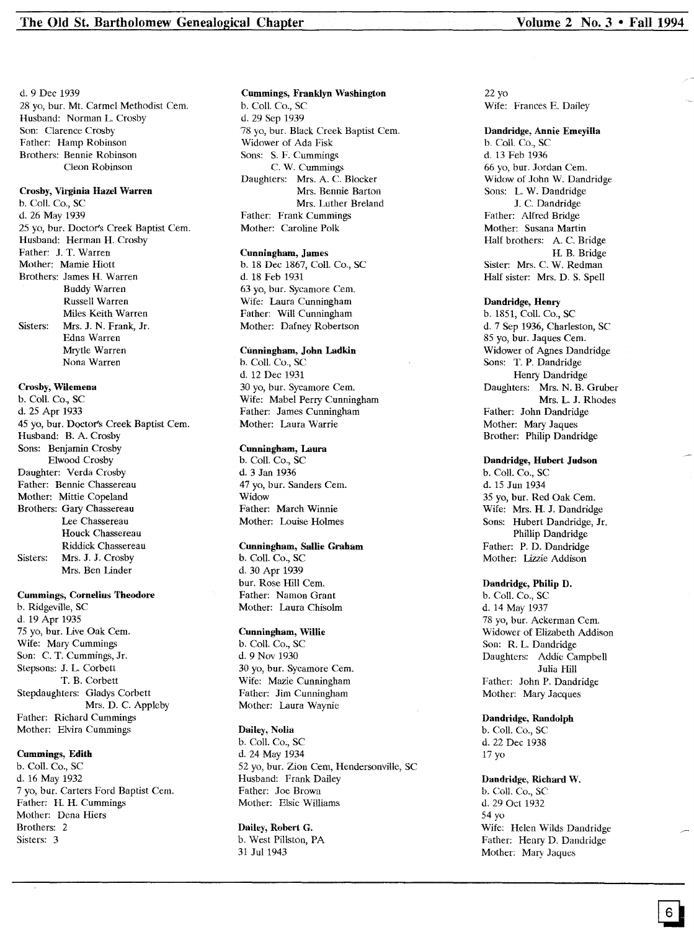d. 9 Dec 1939

28 yo, bur. Mt. Carmel Methodist Cem. Husband: Norman L. Crosby Son: Clarence Crosby Father: Hamp Robinson Brothers: Bennie Robinson Cleon Robinson

## Crosby, Virginia Hazel Warren

b. Coli. Co., SC d. 26 May 1939 25 yo, bur. Doctor's Creek Baptist Cern. Husband: Herman H. Crosby Father: J. T. Warren Mother: Mamie Hiott Brothers: James H. Warren Buddy Warren Russell Warren Miles Keith Warren Sisters: Mrs. J. N. Frank, Jr. Edna Warren Mrytle Warren Nona Warren

#### Crosby, Wilemena

b. Coll. Co., SC d. 25 Apr 1933 45 yo, bur. Doctor's Creek Baptist Cern. Husband: B. A. Crosby Sons: Benjamin Crosby Elwood Crosby Daughter: Verda Crosby Father: Bennie Chassereau Mother: Mittie Copeland Brothers: Gary Chassereau Lee Chassereau Houck Chassereau Riddick Chassereau Sisters: Mrs. J. J. Crosby Mrs. Ben Linder

#### Cummings, Cornelius Theodore

b. Ridgeville, SC d. 19 Apr 1935 75 yo, bur. Live Oak Cern. Wife: Mary Cummings Son: C. T. Cummings, Jr. Stepsons: J. L. Corbett T. B. Corbett Stepdaughters: Gladys Corbett Mrs. D. C. Appleby Father: Richard Cummings Mother: Elvira Cummings

## Cummings, Edith

b. Coli. Co., SC d. 16 May 1932 7 yo, bur. Carters Ford Baptist Cern. Father: H. H. Cummings Mother: Dena Hiers Brothers: 2 Sisters: 3

# Cummings, Franklyn Washington b. Coli. Co., SC

d. 29 Sep 1939 78 yo, bur. Black Creek Baptist Cem. Widower of Ada Fisk Sons: S. F. Cummings C. W. Cummings Daughters: Mrs. A. C. Blocker Mrs. Bennie Barton Mrs. Luther Breland Father: Frank Cummings Mother: Caroline Polk

#### Cunningham, James

b. 18 Dec 1867, CoiL Co., SC d. 18 Feb 1931 63 yo, bur. Sycamore Cem. Wife: Laura Cunningham Father: Will Cunningham Mother: Dafney Robertson

#### Cunningham, John Ladkin

b. Coll. Co., SC d. 12 Dec 1931 30 yo, bur. Sycamore Cern. Wife: Mabel Perry Cunningham Father: James Cunningham Mother: Laura Warrie

## Cunningham, Laura

b. Coli. Co., SC d. 3 Jan 1936 47 yo, bur. Sanders Cem. Widow Father: March Winnie Mother: Louise Holmes

#### Cunningham, Sallie Graham

b. Coli. Co., SC d. 30 Apr 1939 bur. Rose Hill Cern. Father: Namon Grant Mother: Laura Chisolm

#### Cunningham, Willie

b. Coli. Co., SC d. 9 Nov 1930 30 yo, bur. Sycamore Cern. Wife: Mazie Cunningham Father: Jim Cunningham Mother: Laura Waynie

#### Dailey, Nolia

b. Coll. Co., SC d. 24 May 1934 52 yo, bur. Zion Cem, Hendersonville, SC Husband: Frank Dailey Father: Joe Brown Mother: Elsie Williams

#### Dailey, Robert G.

b. West Pillston, PA 31 Jul 1943

22 yo Wife: Frances E. Dailey

#### Dandridge, Annie Emeyilla

b. Coil. Co., SC d. 13 Feb 1936 66 yo, bur. Jordan Cern. Widow of John W. Dandridge Sons: L. W. Dandridge J. C. Dandridge Father: Alfred Bridge Mother: Susana Martin Half brothers: A. C. Bridge H. B. Bridge Sister: Mrs. C. W. Redman Half sister: Mrs. D. S. Spell

#### Dandridge, Henry

b. 1851, CoiL Co., SC d. 7 Sep 1936, Charleston, SC 85 yo, bur. Jaques Cem. Widower of Agnes Dandridge Sons: T. P. Dandridge Henry Dandridge Daughters: Mrs. N. B. Gruber Mrs. L. J. Rhodes Father: John Dandridge Mother: Mary Jaques Brother: Philip Dandridge

## Dandridge, Hubert Judson

b. Coll. Co., SC d. 15 Jun 1934 35 yo, bur. Red Oak Cern. Wife: Mrs. H. J. Dandridge Sons: Hubert Dandridge, Jr. Phillip Dandridge Father: P. D. Dandridge Mother: Lizzie Addison

#### Dandridge, Philip D.

b. Coli. Co., SC d. 14 May 1937 78 yo, bur. Ackerman Cem. Widower of Elizabeth Addison Son: R. L. Dandridge Daughters: Addie Campbell Julia Hill Father: John P. Dandridge Mother: Mary Jacques

## Dandridge, Randolph

b. Coll. Co., SC d. 22 Dec 1938 17 yo

#### Dandridge., Richard W.

b. Coil. Co., SC d. 29 Oct 1932 54 yo Wife: Helen Wilds Dandridge Father: Henry D. Dandridge Mother: Mary Jaques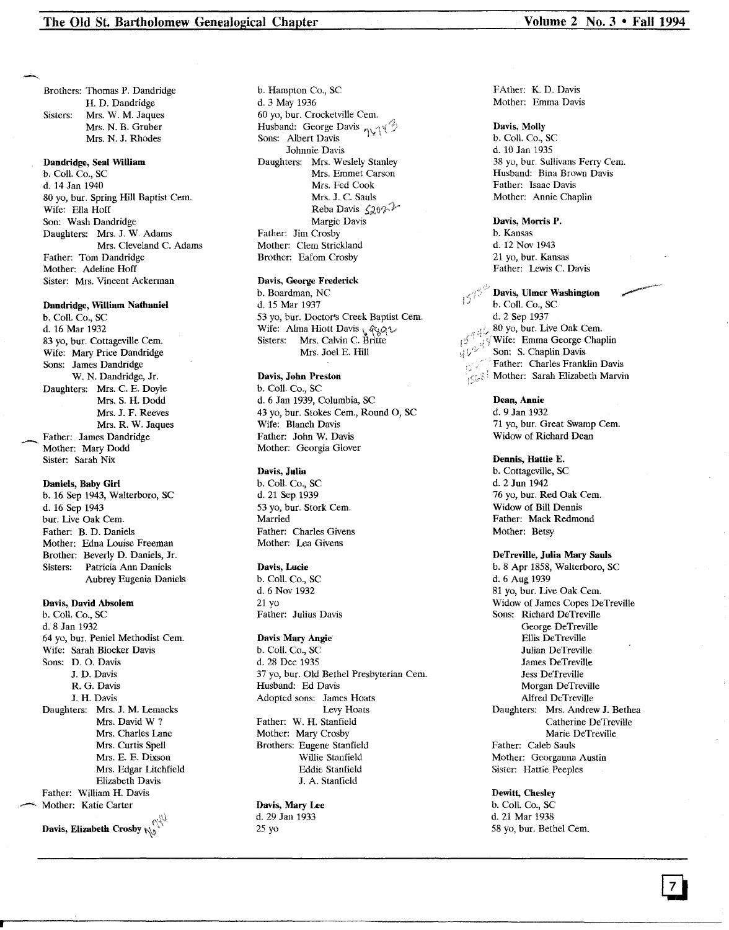Brothers: Thomas P. Dandridge H. D. Dandridge Sisters: Mrs. W. M. Jaques Mrs. N. B. Gruber

Mrs. N. J. Rhodes

## Dandridge, Seal William

b. Coil. Co., SC d. 14 Jan 1940 80 yo, bur. Spring Hill Baptist Cern. Wife: Ella Hoff Son: Wash Dandridge Daughters: Mrs. J. W. Adams Mrs. Cleveland C. Adams Father: Tom Dandridge Mother: Adeline Hoff Sister: Mrs. Vincent Ackerman

#### Dandridge, William Nathaniel

b. Coil. Co., SC d. 16 Mar 1932 83 yo, bur. Cottageville Cern. Wife: Mary Price Dandridge Sons: James Dandridge W. N. Dandridge, Jr. Daughters: Mrs. C. E. Doyle Mrs. S. H. Dodd Mrs. J. F. Reeves Mrs. R. W. Jaques Father: James Dandridge Mother: Mary Dodd Sister: Sarah Nix

#### Daniels, Baby Girl b. 16 Sep 1943, Walterboro, SC

d. 16 Sep 1943 bur. Live Oak Cem. Father: B. D. Daniels Mother: Edna Louise Freeman Brother: Beverly D. Daniels, Jr. Sisters: Patricia Ann Daniels Aubrey Eugenia Daniels

Davis, David Absolem b. Coil. Co., SC d. 8 Jan 1932 64 yo, bur. Peniel Methodist Cem. Wife: Sarah Blocker Davis Sons: D. O. Davis J. D. Davis

R. G. Davis J. H. Davis Daughters: Mrs. J. M. Lemacks Mrs. David W ? Mrs. Charles Lane Mrs. Curtis Spell Mrs. E. E. Dixson Mrs. Edgar Litchfield Elizabeth Davis Father: William H. Davis Mother: Katie Carter Davis, Elizabeth Crosby  $\mathbb{N}$ 

d. 3 May 1936 60 yo, bur. Crocketville Cem. Husband: George Davis  $\eta \vee \gamma$ Sons: Albert Davis Johnnie Davis Daughters: Mrs. Weslely Stanley Mrs. Emmet Carson Mrs. Fed Cook Mrs. J. C. Sauls Reba Davis  $\zeta_{20}\gamma$ Margie Davis

b. Hampton Co., SC

Father: Jim Crosby Mother: Clem Strickland Brother: Eafom Crosby

## Davis, George Frederick

b. Boardman, NC d. 15 Mar 1937 53 yo, bur. Doctor's Creek Baptist Cem. wife: Alma Hiott Davis *\*. agg\left<br>Sisters: Mrs. Calvin C. Britte Mrs. Joel E. Hill

# Davis, John Preston

b. Call. Co., SC d. 6 Jan 1939, Columbia, SC 43 yo, bur. Stokes Cem., Round O, SC Wife: Blanch Davis Father: John W. Davis Mother: Georgia Glover

#### Davis, Julia

b. Call. Co., SC d. 21 Sep 1939 53 yo, bur. Stork Cem. Married Father: Charles Givens Mother: Lea Givens

#### Davis, Lucie

b. Coil. Co., SC d. 6 Nov 1932 21 yo Father: Julius Davis

#### Davis Mary Angie

b. Call. Co., SC d. 28 Dec 1935 37 yo, bur. Old Bethel Presbyterian Cern. Husband: Ed Davis Adopted sons: James Hoats Levy Hoats Father: W. H. Stanfield Mother: Mary Crosby Brothers: Eugene Stanfield Willie Stanfield Eddie Stanfield J. A. Stanfield

## Davis, Mary Lee d. 29 Jan 1933

25 yo

FAther: K. D. Davis Mother: Emma Davis

Davis, Molly b. Coil. Co., SC d. 10 Jan 1935 38 yo, bur. Sullivans Ferry Cem. Husband: Bina Brown Davis Father: Isaac Davis Mother: Annie Chaplin

Davis, Morris P. b. Kansas d. 12 Nov 1943 21 yo, bur. Kansas Father: Lewis C. Davis

Davis, Ulmer Washington b. Call. Co., SC d. 2 Sep 1937<br>80 yo, bur. Live Oak Cem. 80 yo, bur. Live Oak Cem.  $\sqrt{ }$  Wife: Emma George Chaplin  $\mathfrak{gl}_\mathcal{F}$  Son: S. Chaplin Davis Father: Charles Franklin Davis  $\mathcal{L}_{\mathcal{S}}$  Mother: Sarah Elizabeth Marvin

## Dean, Annie

d. 9 Jan 1932 71 yo, bur. Great Swamp Cem. Widow of Richard Dean

## Dennis, Hattie E.

b. Cottageville, SC d. 2 Jun 1942 76 yo, bur. Red Oak Cern. Widow of Bill Dennis Father: Mack Redmond Mother: Betsy

## DeTreville, Julia Mary Sauls

b. 8 Apr 1858, Walterboro, SC d. 6 Aug 1939 81 yo, bur. Live Oak Cem. Widow of James Copes DeTreville Sons: Richard DeTreville George DeTreville Ellis DeTreville Julian DeTreville James DeTreville Jess DeTreville Morgan DeTreville Alfred DeTreville Daughters: Mrs. Andrew J. Bethea Catherine DeTreville Marie DeTreville Father: Caleb Sauls Mother: Georganna Austin Sister: Hattie Peeples

## Dewitt, Chesley

b. Coil. Co., SC d. 21 Mar 1938 58 yo, bur. Bethel Cem.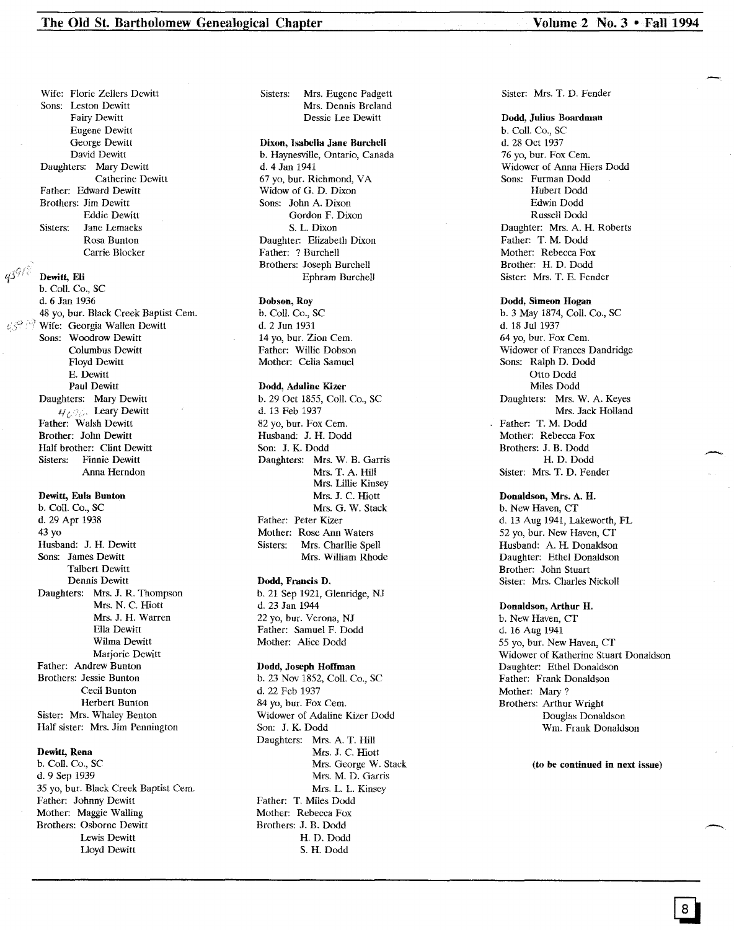Wife: Florie Zellers Dewitt Sons: Leston Dewitt Fairy Dewitt Eugene Dewitt George Dewitt David Dewitt Daughters: Mary Dewitt Catherine Dewitt Father: Edward Dewitt Brothers: Jim Dewitt Eddie Dewitt Sisters: Jane Lemacks Rosa Bunton Carrie Blocker

### Dewitt, Eli

b. Coli. Co., SC d. 6 Jan 1936 48 yo, bur. Black Creek Baptist Cern. Wife: Georgia Wallen Dewitt Sons: Woodrow Dewitt Columbus Dewitt Floyd Dewitt E. Dewitt Paul Dewitt Daughters: Mary Dewitt<br> $\mathcal{U}_{\mathcal{L}}$ . Leary Dewitt Father: Walsh Dewitt Brother: John Dewitt Half brother: Clint Dewitt Sisters: Finnie Dewitt Anna Herndon

## Dewitt, Eula Bunton

b. ColI. Co., SC d. 29 Apr 1938 43 yo Husband: J. H. Dewitt Sons: James Dewitt Talbert Dewitt Dennis Dewitt Daughters: Mrs. J. R. Thompson Mrs. N. C. Hiott Mrs. J. H. Warren Ella Dewitt Wilma Dewitt Marjorie Dewitt Father: Andrew Bunton Brothers: Jessie Bunton Cecil Bunton Herbert Bunton Sister: Mrs. Whaley Benton Half sister: Mrs. Jim Pennington

## Dewitt, Rena

b. Coli. Co., SC d. 9 Sep 1939 35 yo, bur. Black Creek Baptist Cern. Father: Johnny Dewitt Mother: Maggie Walling Brothers: Osborne Dewitt Lewis Dewitt Lloyd Dewitt

## Sisters: Mrs. Eugene Padgett Mrs. Dennis Breland Dessie Lee Dewitt

## Dixon, Isabella Jane Burchell

b. Haynesville, Ontario, Canada d. 4 Jan 1941 67 yo, bur. Richmond, VA Widow of G. D. Dixon Sons: John A. Dixon Gordon F. Dixon S. L. Dixon Daughter: Elizabeth Dixon Father: ? Burchell Brothers: Joseph Burchell Ephram Burchell

#### Dobson, Roy

b. ColI. Co., SC d. 2 Jun 1931 14 yo, bur. Zion Cern. Father: Willie Dobson Mother: Celia Samuel

#### Dodd, Adaline Kizer

b. 29 Oct 1855, Coli. Co., SC d. 13 Feb 1937 82 yo, bur. Fox Cem. Husband: J. H. Dodd Son: J. K. Dodd Daughters: Mrs. W. B. Garris Mrs. T. A. Hill Mrs. Lillie Kinsey Mrs. J. C. Hiott Mrs. G. W. Stack Father: Peter Kizer Mother: Rose Ann Waters Sisters: Mrs. Charllie Spell Mrs. William Rhode

## Dodd, Francis D.

b. 21 Sep 1921, Glenridge, NJ d. 23 Jan 1944 22 yo, bur. Verona, NJ Father: Samuel F. Dodd Mother: Alice Dodd

### Dodd, Joseph Hoffman

b. 23 Nov 1852, Coli. Co., SC d. 22 Feb 1937 84 yo, bur. Fox Cem. Widower of Adaline Kizer Dodd Son: J. K. Dodd Daughters: Mrs. A. T. Hill Mrs. J. C. Hiott Mrs. George W. Stack Mrs. M. D. Garris Mrs. L. L. Kinsey Father: T. Miles Dodd Mother: Rebecca Fox Brothers: J. B. Dodd H. D. Dodd S. H. Dodd

#### Sister: Mrs. T. D. Fender

#### Dodd, Julius Boardman

b. Coli. Co., SC d. 28 Oct 1937 76 yo, bur. Fox Cern. Widower of Anna Hiers Dodd Sons: Furman Dodd Hubert Dodd Edwin Dodd Russell Dodd Daughter: Mrs. A. H. Roberts Father: T. M. Dodd Mother: Rebecca Fox Brother: H. D. Dodd Sister: Mrs. T. E. Fender

#### Dodd, Simeon Hogan

b. 3 May 1874, ColI. Co., SC d. 18 Jul 1937 64 yo, bur. Fox Cem. Widower of Frances Dandridge Sons: Ralph D. Dodd Otto Dodd Miles Dodd Daughters: Mrs. W. A. Keyes Mrs. Jack Holland Father: T. M. Dodd Mother: Rebecca Fox Brothers: J. B. Dodd H. D. Dodd Sister: Mrs. T. D. Fender

#### Donaldson, Mrs. A. H.

b. New Haven, CT d. 13 Aug 1941, Lakeworth, FL 52 yo, bur. New Haven, CT Husband: A. H. Donaldson Daughter: Ethel Donaldson Brother: John Stuart Sister: Mrs. Charles Nickoll

#### Donaldson, Arthur H.

b. New Haven, CT d. 16 Aug 1941 55 yo, bur. New Haven, CT Widower of Katherine Stuart Donaldson Daughter: Ethel Donaldson Father: Frank Donaldson Mother: Mary? Brothers: Arthur Wright Douglas Donaldson Wm. Frank Donaldson

(to be continued in next issue)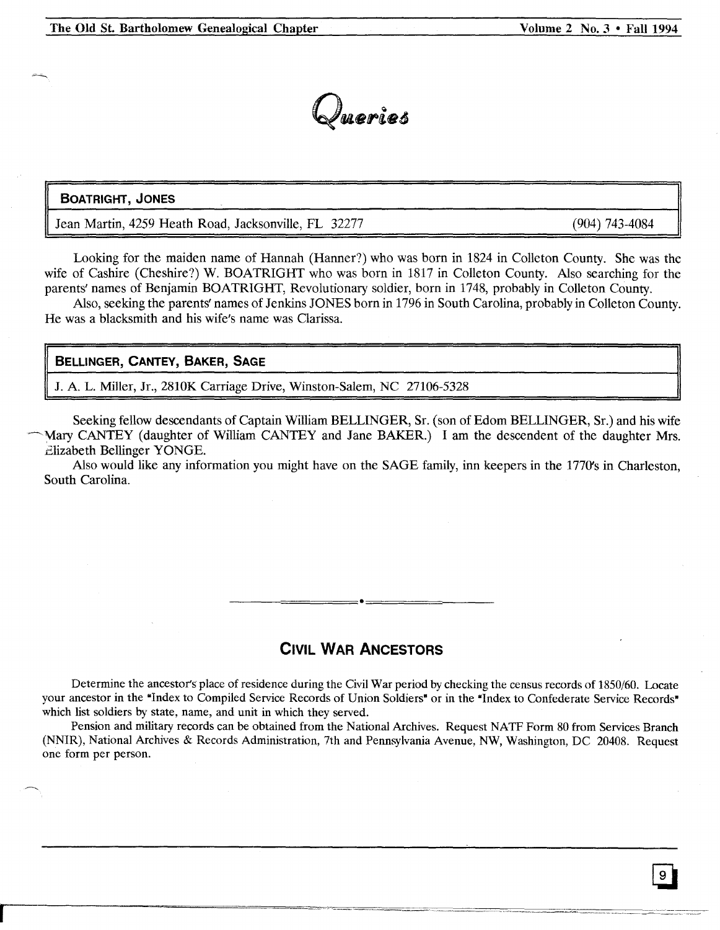

# **BOATRIGHT, JONES**

Jean Martin, 4259 Heath Road, Jacksonville, FL 32277

(904) 743-4084

Looking for the maiden name of Hannah (Hanner?) who was born in 1824 in Colleton County. She was the wife of Cashire (Cheshire?) W. BOATRIGHT who was born in 1817 in Colleton County. Also searching for the parents' names of Benjamin BOATRIGHT, Revolutionary soldier, born in 1748, probably in Colleton County.

Also, seeking the parents' names of Jenkins JONES born in 1796 in South Carolina, probably in Colleton County. He was a blacksmith and his wife's name was Clarissa.

# **BELLINGER, CANTEY, BAKER, SAGE**

J. A. L. Miller, Jr., 2810K Carriage Drive, Winston-Salem, NC 27106-5328

Seeking fellow descendants of Captain William BELLINGER, Sr. (son of Edom BELLINGER, Sr.) and his wife Mary CANTEY (daughter of William CANTEY and Jane BAKER.) I am the descendent of the daughter Mrs. Elizabeth Bellinger YONGE.

Also would like any information you might have on the SAGE family, inn keepers in the 1770's in Charleston, South Carolina.

# **CIVIL WAR ANCESTORS**

\_\_\_\_ ======e====== \_

Determine the ancestor's place of residence during the Civil War period by checking the census records of 1850/60. Locate your ancestor in the "Index to Compiled Service Records of Union Soldiers" or in the "Index to Confederate Service Records" which list soldiers by state, name, and unit in which they served.

Pension and military records can be obtained from the National Archives. Request NATF Form 80 from Services Branch (NNIR), National Archives & Records Administration, 7th and Pennsylvania Avenue, NW, Washington, DC 20408. Request one form per person.

r----===~-'==-~~-~----·-··-· ..~---------=-.\_---- ..--------.---.----------- =-=:-.----~-